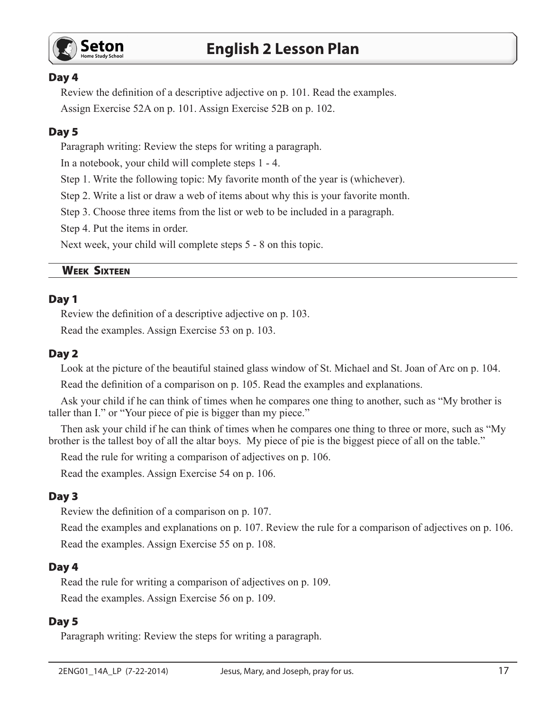

### Day 4

Review the definition of a descriptive adjective on p. 101. Read the examples.

Assign Exercise 52A on p. 101. Assign Exercise 52B on p. 102.

## Day 5

Paragraph writing: Review the steps for writing a paragraph.

In a notebook, your child will complete steps 1 - 4.

Step 1. Write the following topic: My favorite month of the year is (whichever).

Step 2. Write a list or draw a web of items about why this is your favorite month.

Step 3. Choose three items from the list or web to be included in a paragraph.

Step 4. Put the items in order.

Next week, your child will complete steps 5 - 8 on this topic.

### Week Sixteen

### Day 1

Review the definition of a descriptive adjective on p. 103.

Read the examples. Assign Exercise 53 on p. 103.

### Day 2

Look at the picture of the beautiful stained glass window of St. Michael and St. Joan of Arc on p. 104.

Read the definition of a comparison on p. 105. Read the examples and explanations.

Ask your child if he can think of times when he compares one thing to another, such as "My brother is taller than I." or "Your piece of pie is bigger than my piece."

Then ask your child if he can think of times when he compares one thing to three or more, such as "My brother is the tallest boy of all the altar boys. My piece of pie is the biggest piece of all on the table."

Read the rule for writing a comparison of adjectives on p. 106.

Read the examples. Assign Exercise 54 on p. 106.

## Day 3

Review the definition of a comparison on p. 107.

Read the examples and explanations on p. 107. Review the rule for a comparison of adjectives on p. 106. Read the examples. Assign Exercise 55 on p. 108.

## Day 4

Read the rule for writing a comparison of adjectives on p. 109. Read the examples. Assign Exercise 56 on p. 109.

#### Day 5

Paragraph writing: Review the steps for writing a paragraph.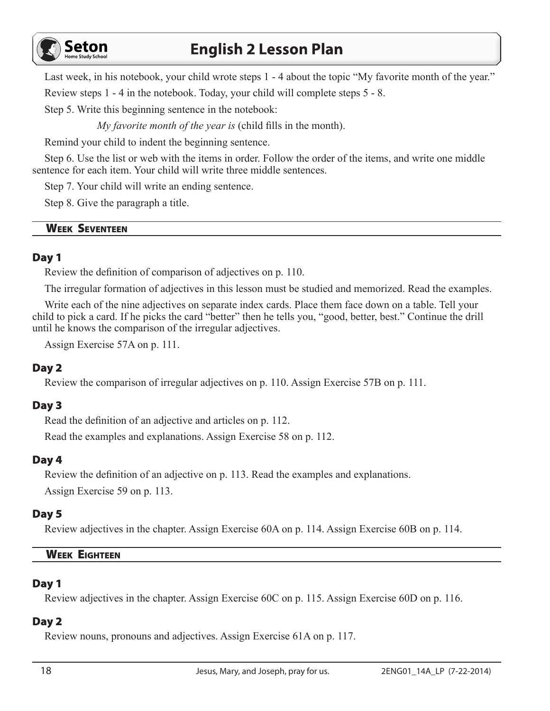

## **English 2 Lesson Plan**

Last week, in his notebook, your child wrote steps 1 - 4 about the topic "My favorite month of the year." Review steps 1 - 4 in the notebook. Today, your child will complete steps 5 - 8.

Step 5. Write this beginning sentence in the notebook:

*My favorite month of the year is* (child fills in the month).

Remind your child to indent the beginning sentence.

Step 6. Use the list or web with the items in order. Follow the order of the items, and write one middle sentence for each item. Your child will write three middle sentences.

Step 7. Your child will write an ending sentence.

Step 8. Give the paragraph a title.

## Week Seventeen

## Day 1

Review the definition of comparison of adjectives on p. 110.

The irregular formation of adjectives in this lesson must be studied and memorized. Read the examples.

Write each of the nine adjectives on separate index cards. Place them face down on a table. Tell your child to pick a card. If he picks the card "better" then he tells you, "good, better, best." Continue the drill until he knows the comparison of the irregular adjectives.

Assign Exercise 57A on p. 111.

## Day 2

Review the comparison of irregular adjectives on p. 110. Assign Exercise 57B on p. 111.

## Day 3

Read the definition of an adjective and articles on p. 112.

Read the examples and explanations. Assign Exercise 58 on p. 112.

## Day 4

Review the definition of an adjective on p. 113. Read the examples and explanations. Assign Exercise 59 on p. 113.

## Day 5

Review adjectives in the chapter. Assign Exercise 60A on p. 114. Assign Exercise 60B on p. 114.

## Week Eighteen

## Day 1

Review adjectives in the chapter. Assign Exercise 60C on p. 115. Assign Exercise 60D on p. 116.

## Day 2

Review nouns, pronouns and adjectives. Assign Exercise 61A on p. 117.